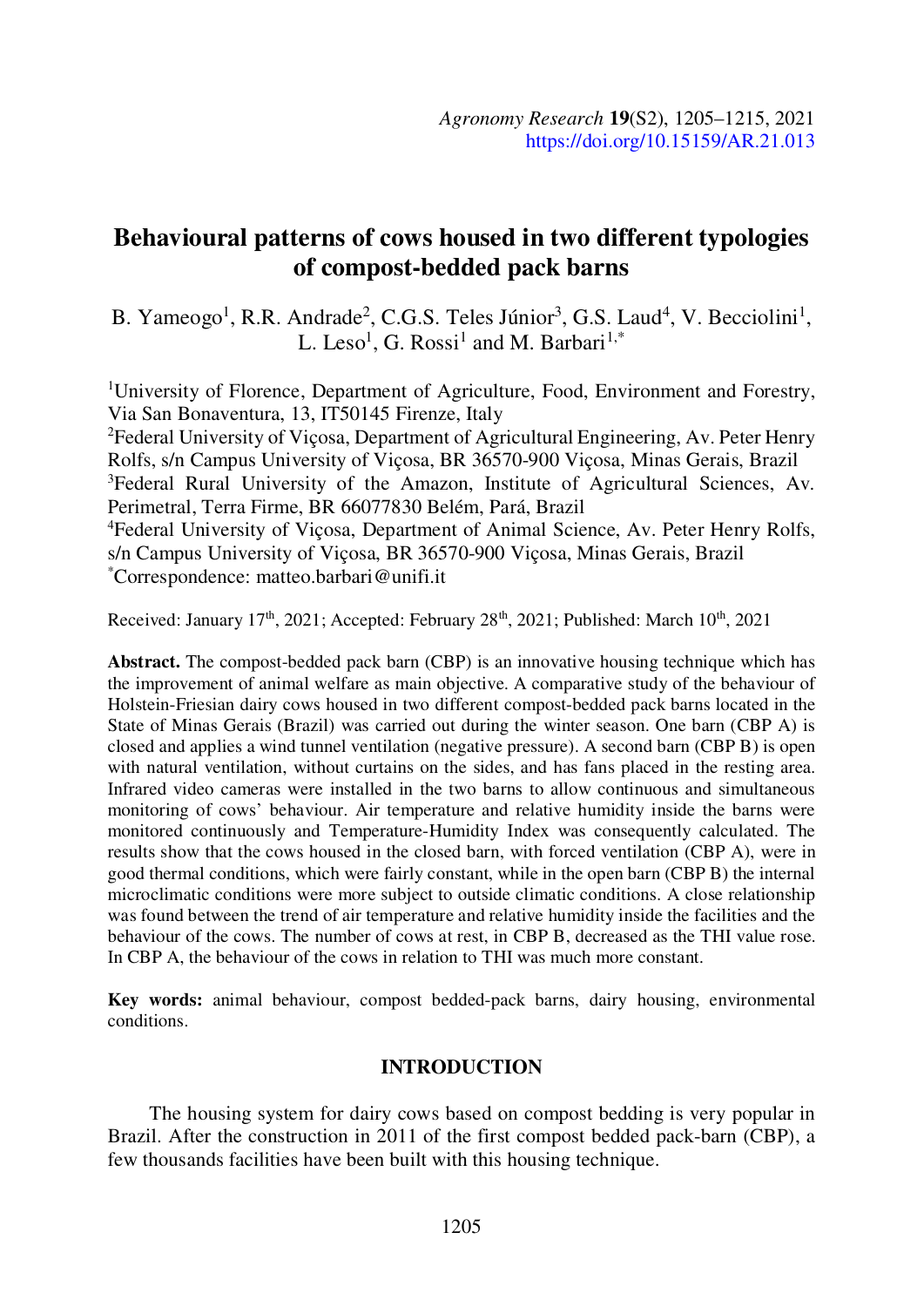# Behavioural patterns of cows housed in two different typologies of compost-bedded pack barns

B. Yameogo<sup>1</sup>, R.R. Andrade<sup>2</sup>, C.G.S. Teles Júnior<sup>3</sup>, G.S. Laud<sup>4</sup>, V. Becciolini<sup>1</sup>,<br>L. Leso<sup>1</sup>, G. Rossi<sup>1</sup> and M. Barbari<sup>1,\*</sup> , G. Rossi<sup>1</sup> and M. Barbari<sup>1,\*</sup>

1University of Florence, Department of Agriculture, Food, Environment and Forestry, Via San Bonaventura, 13, IT50145 Firenze, Italy

2Federal University of Viçosa, Department of Agricultural Engineering, Av. Peter Henry Rolfs, s/n Campus University of Viçosa, BR 36570-900 Viçosa, Minas Gerais, Brazil <sup>3</sup>Federal Rural University of the Amazon, Institute of Agricultural Sciences, Av. Perimetral, Terra Firme, BR 66077830 Belém, Pará, Brazil 4Federal University of Viçosa, Department of Animal Science, Av. Peter Henry Rolfs, s/n Campus University of Viçosa, BR 36570-900 Viçosa, Minas Gerais, Brazil \*Correspondence: matteo.barbari@unifi.it

Received: January  $17<sup>th</sup>$ , 2021; Accepted: February  $28<sup>th</sup>$ , 2021; Published: March  $10<sup>th</sup>$ , 2021

Abstract. The compost-bedded pack barn (CBP) is an innovative housing technique which has the improvement of animal welfare as main objective. A comparative study of the behaviour of Holstein-Friesian dairy cows housed in two different compost-bedded pack barns located in the State of Minas Gerais (Brazil) was carried out during the winter season. One barn (CBP A) is closed and applies a wind tunnel ventilation (negative pressure). A second barn (CBP B) is open with natural ventilation, without curtains on the sides, and has fans placed in the resting area. Infrared video cameras were installed in the two barns to allow continuous and simultaneous monitoring of cows' behaviour. Air temperature and relative humidity inside the barns were monitored continuously and Temperature-Humidity Index was consequently calculated. The results show that the cows housed in the closed barn, with forced ventilation (CBP A), were in good thermal conditions, which were fairly constant, while in the open barn (CBP B) the internal microclimatic conditions were more subject to outside climatic conditions. A close relationship was found between the trend of air temperature and relative humidity inside the facilities and the behaviour of the cows. The number of cows at rest, in CBP B, decreased as the THI value rose. In CBP A, the behaviour of the cows in relation to THI was much more constant.

Key words: animal behaviour, compost bedded-pack barns, dairy housing, environmental conditions.

# **INTRODUCTION**

The housing system for dairy cows based on compost bedding is very popular in Brazil. After the construction in 2011 of the first compost bedded pack-barn (CBP), a few thousands facilities have been built with this housing technique.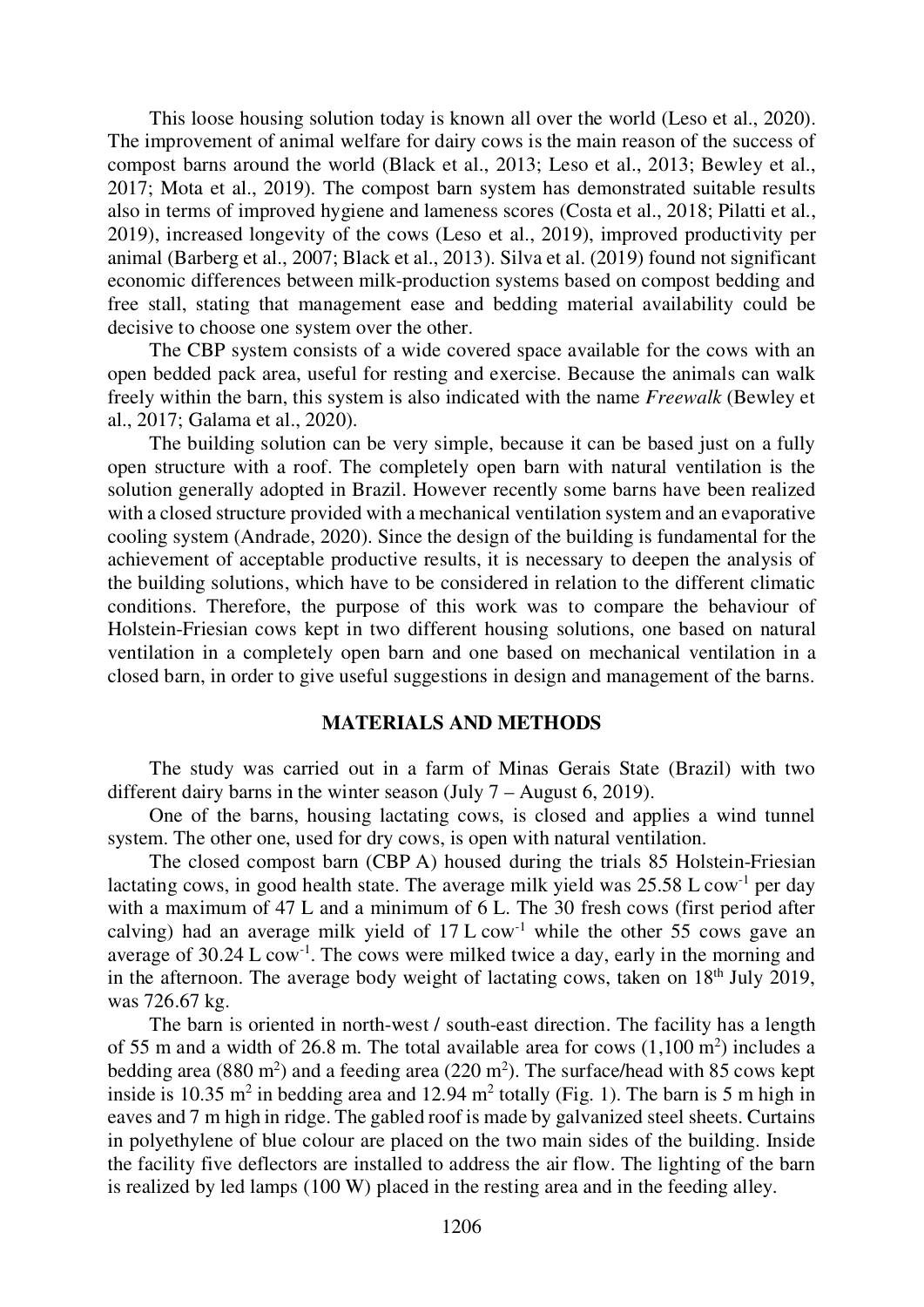This loose housing solution today is known all over the world (Leso et al., 2020). The improvement of animal welfare for dairy cows is the main reason of the success of compost barns around the world (Black et al., 2013; Leso et al., 2013; Bewley et al., 2017; Mota et al., 2019). The compost barn system has demonstrated suitable results also in terms of improved hygiene and lameness scores (Costa et al., 2018; Pilatti et al., 2019), increased longevity of the cows (Leso et al., 2019), improved productivity per animal (Barberg et al., 2007; Black et al., 2013). Silva et al. (2019) found not significant economic differences between milk-production systems based on compost bedding and free stall, stating that management ease and bedding material availability could be decisive to choose one system over the other.

The CBP system consists of a wide covered space available for the cows with an open bedded pack area, useful for resting and exercise. Because the animals can walk freely within the barn, this system is also indicated with the name Freewalk (Bewley et al., 2017; Galama et al., 2020).

The building solution can be very simple, because it can be based just on a fully open structure with a roof. The completely open barn with natural ventilation is the solution generally adopted in Brazil. However recently some barns have been realized with a closed structure provided with a mechanical ventilation system and an evaporative cooling system (Andrade, 2020). Since the design of the building is fundamental for the achievement of acceptable productive results, it is necessary to deepen the analysis of the building solutions, which have to be considered in relation to the different climatic conditions. Therefore, the purpose of this work was to compare the behaviour of Holstein-Friesian cows kept in two different housing solutions, one based on natural ventilation in a completely open barn and one based on mechanical ventilation in a closed barn, in order to give useful suggestions in design and management of the barns.

# MATERIALS AND METHODS

The study was carried out in a farm of Minas Gerais State (Brazil) with two different dairy barns in the winter season (July 7 – August 6, 2019).

One of the barns, housing lactating cows, is closed and applies a wind tunnel system. The other one, used for dry cows, is open with natural ventilation.

The closed compost barn (CBP A) housed during the trials 85 Holstein-Friesian lactating cows, in good health state. The average milk yield was  $25.58 \text{ L}$  cow<sup>-1</sup> per day with a maximum of 47 L and a minimum of 6 L. The 30 fresh cows (first period after calving) had an average milk yield of  $17 L \text{ cow}^{-1}$  while the other 55 cows gave an average of 30.24 L cow-1. The cows were milked twice a day, early in the morning and in the afternoon. The average body weight of lactating cows, taken on  $18<sup>th</sup>$  July 2019, was 726.67 kg.

The barn is oriented in north-west / south-east direction. The facility has a length of 55 m and a width of 26.8 m. The total available area for cows  $(1,100 \text{ m}^2)$  includes a bedding area (880 m<sup>2</sup>) and a feeding area (220 m<sup>2</sup>). The surface/head with 85 cows kept inside is 10.35 m<sup>2</sup> in bedding area and 12.94 m<sup>2</sup> totally (Fig. 1). The barn is 5 m high in eaves and 7 m high in ridge. The gabled roof is made by galvanized steel sheets. Curtains in polyethylene of blue colour are placed on the two main sides of the building. Inside the facility five deflectors are installed to address the air flow. The lighting of the barn is realized by led lamps (100 W) placed in the resting area and in the feeding alley.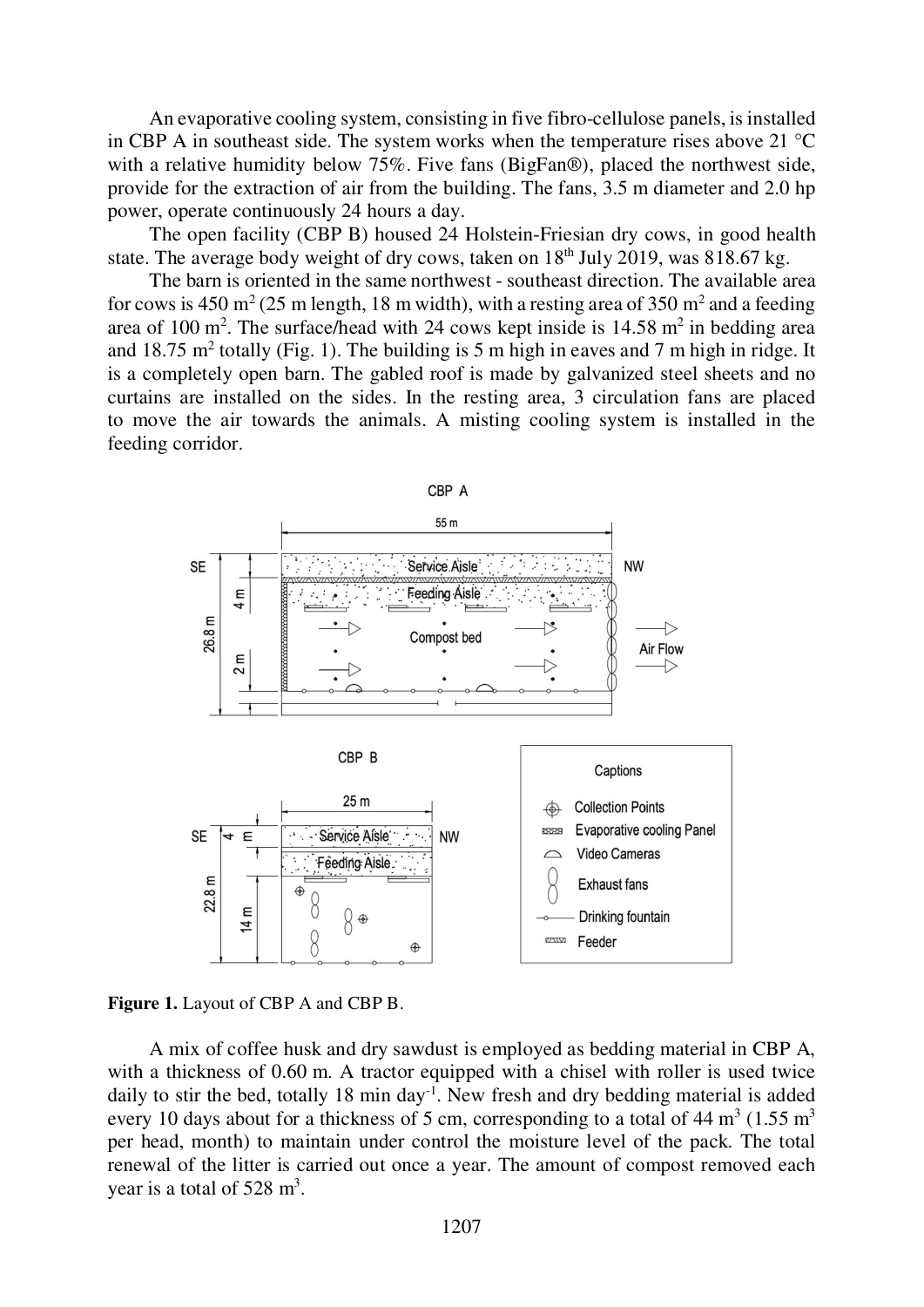An evaporative cooling system, consisting in five fibro-cellulose panels, is installed in CBP A in southeast side. The system works when the temperature rises above 21 °C with a relative humidity below 75%. Five fans (BigFan®), placed the northwest side, provide for the extraction of air from the building. The fans, 3.5 m diameter and 2.0 hp power, operate continuously 24 hours a day.

The open facility (CBP B) housed 24 Holstein-Friesian dry cows, in good health state. The average body weight of dry cows, taken on  $18<sup>th</sup>$  July 2019, was 818.67 kg.

The barn is oriented in the same northwest - southeast direction. The available area for cows is 450 m<sup>2</sup> (25 m length, 18 m width), with a resting area of 350 m<sup>2</sup> and a feeding area of 100 m<sup>2</sup>. The surface/head with 24 cows kept inside is  $14.58 \text{ m}^2$  in bedding area and 18.75 m<sup>2</sup> totally (Fig. 1). The building is 5 m high in eaves and 7 m high in ridge. It is a completely open barn. The gabled roof is made by galvanized steel sheets and no curtains are installed on the sides. In the resting area, 3 circulation fans are placed to move the air towards the animals. A misting cooling system is installed in the feeding corridor.





A mix of coffee husk and dry sawdust is employed as bedding material in CBP A, with a thickness of 0.60 m. A tractor equipped with a chisel with roller is used twice daily to stir the bed, totally 18 min day<sup>-1</sup>. New fresh and dry bedding material is added every 10 days about for a thickness of 5 cm, corresponding to a total of  $44 \text{ m}^3$  (1.55 m<sup>3</sup>) per head, month) to maintain under control the moisture level of the pack. The total renewal of the litter is carried out once a year. The amount of compost removed each year is a total of  $528 \text{ m}^3$ .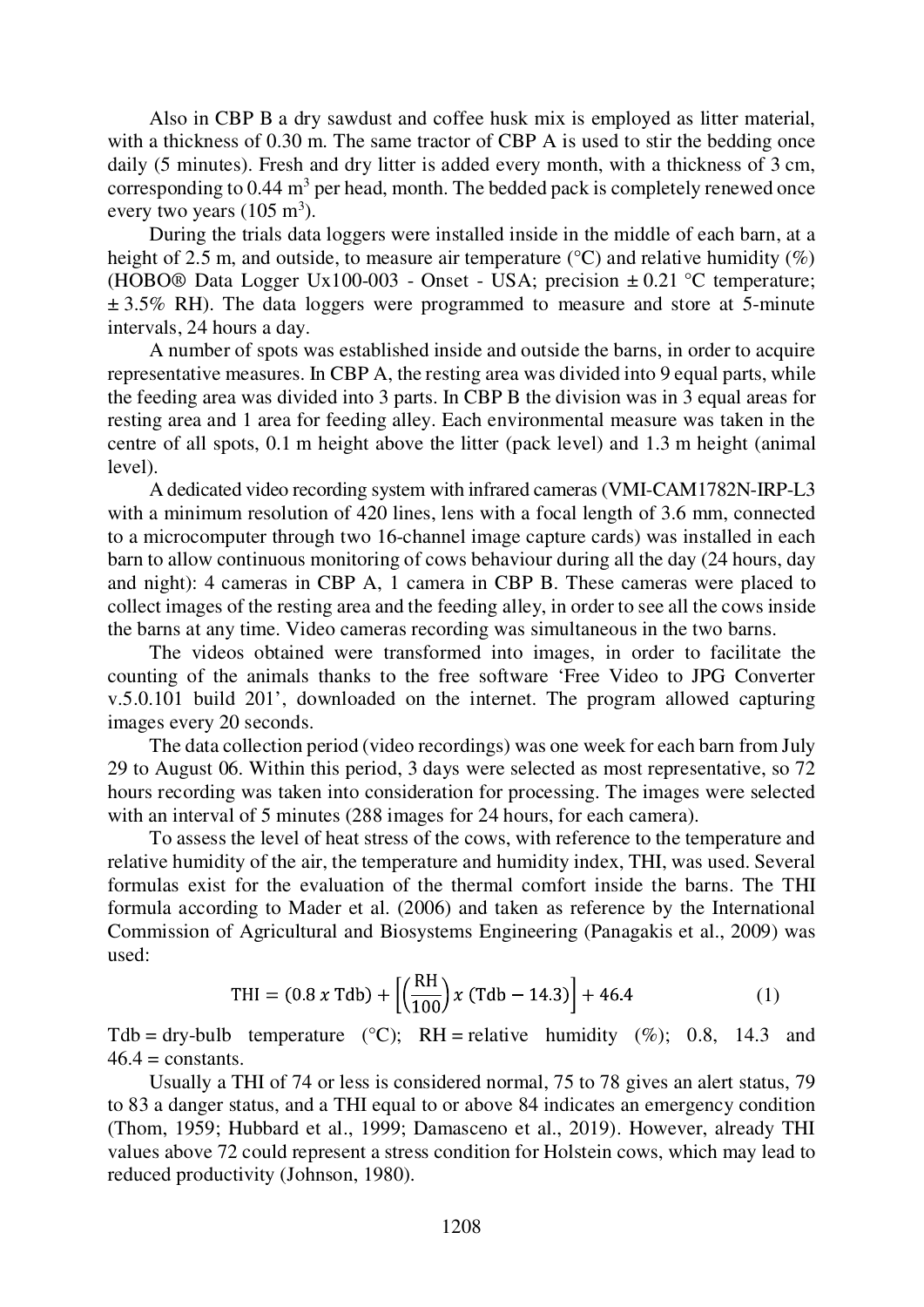Also in CBP B a dry sawdust and coffee husk mix is employed as litter material, with a thickness of 0.30 m. The same tractor of CBP A is used to stir the bedding once daily (5 minutes). Fresh and dry litter is added every month, with a thickness of 3 cm, corresponding to  $0.44 \text{ m}^3$  per head, month. The bedded pack is completely renewed once every two years  $(105 \text{ m}^3)$ .

During the trials data loggers were installed inside in the middle of each barn, at a height of 2.5 m, and outside, to measure air temperature ( $\degree$ C) and relative humidity ( $\%$ ) (HOBO® Data Logger Ux100-003 - Onset - USA; precision  $\pm$  0.21 °C temperature;  $\pm$  3.5% RH). The data loggers were programmed to measure and store at 5-minute intervals, 24 hours a day.

A number of spots was established inside and outside the barns, in order to acquire representative measures. In CBP A, the resting area was divided into 9 equal parts, while the feeding area was divided into 3 parts. In CBP B the division was in 3 equal areas for resting area and 1 area for feeding alley. Each environmental measure was taken in the centre of all spots, 0.1 m height above the litter (pack level) and 1.3 m height (animal level).

A dedicated video recording system with infrared cameras (VMI-CAM1782N-IRP-L3 with a minimum resolution of 420 lines, lens with a focal length of 3.6 mm, connected to a microcomputer through two 16-channel image capture cards) was installed in each barn to allow continuous monitoring of cows behaviour during all the day (24 hours, day and night): 4 cameras in CBP A, 1 camera in CBP B. These cameras were placed to collect images of the resting area and the feeding alley, in order to see all the cows inside the barns at any time. Video cameras recording was simultaneous in the two barns.

The videos obtained were transformed into images, in order to facilitate the counting of the animals thanks to the free software 'Free Video to JPG Converter v.5.0.101 build 201', downloaded on the internet. The program allowed capturing images every 20 seconds.

The data collection period (video recordings) was one week for each barn from July 29 to August 06. Within this period, 3 days were selected as most representative, so 72 hours recording was taken into consideration for processing. The images were selected with an interval of 5 minutes (288 images for 24 hours, for each camera).

To assess the level of heat stress of the cows, with reference to the temperature and relative humidity of the air, the temperature and humidity index, THI, was used. Several formulas exist for the evaluation of the thermal comfort inside the barns. The THI formula according to Mader et al. (2006) and taken as reference by the International Commission of Agricultural and Biosystems Engineering (Panagakis et al., 2009) was used:

$$
\text{THI} = (0.8 \times \text{Tdb}) + \left[ \left( \frac{\text{RH}}{100} \right) \times (\text{Tdb} - 14.3) \right] + 46.4 \tag{1}
$$

Tdb = dry-bulb temperature (°C); RH = relative humidity (%); 0.8, 14.3 and  $46.4 =$ constants.

Usually a THI of 74 or less is considered normal, 75 to 78 gives an alert status, 79 to 83 a danger status, and a THI equal to or above 84 indicates an emergency condition (Thom, 1959; Hubbard et al., 1999; Damasceno et al., 2019). However, already THI values above 72 could represent a stress condition for Holstein cows, which may lead to reduced productivity (Johnson, 1980).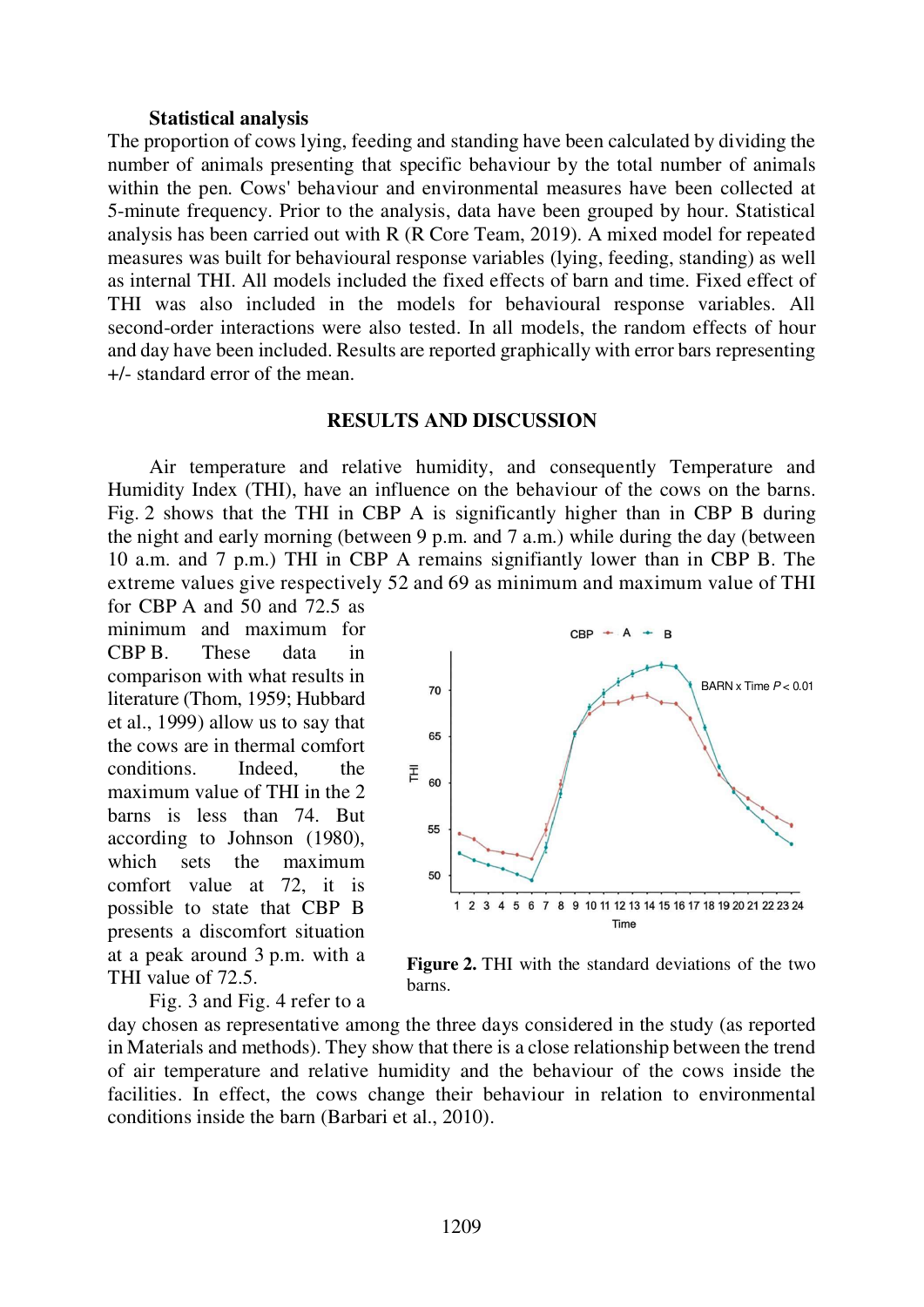#### Statistical analysis

The proportion of cows lying, feeding and standing have been calculated by dividing the number of animals presenting that specific behaviour by the total number of animals within the pen. Cows' behaviour and environmental measures have been collected at 5-minute frequency. Prior to the analysis, data have been grouped by hour. Statistical analysis has been carried out with R (R Core Team, 2019). A mixed model for repeated measures was built for behavioural response variables (lying, feeding, standing) as well as internal THI. All models included the fixed effects of barn and time. Fixed effect of THI was also included in the models for behavioural response variables. All second-order interactions were also tested. In all models, the random effects of hour and day have been included. Results are reported graphically with error bars representing +/- standard error of the mean.

## RESULTS AND DISCUSSION

Air temperature and relative humidity, and consequently Temperature and Humidity Index (THI), have an influence on the behaviour of the cows on the barns. Fig. 2 shows that the THI in CBP A is significantly higher than in CBP B during the night and early morning (between 9 p.m. and 7 a.m.) while during the day (between 10 a.m. and 7 p.m.) THI in CBP A remains signifiantly lower than in CBP B. The extreme values give respectively 52 and 69 as minimum and maximum value of THI

for CBP A and 50 and 72.5 as minimum and maximum for CBP B. These data in comparison with what results in literature (Thom, 1959; Hubbard et al., 1999) allow us to say that the cows are in thermal comfort conditions. Indeed, the  $\bar{z}$ maximum value of THI in the 2  $\overrightarrow{E}$  60 barns is less than 74. But according to Johnson (1980), which sets the maximum comfort value at 72, it is possible to state that CBP B presents a discomfort situation at a peak around 3 p.m. with a THI value of 72.5.

BARN x Time  $P < 0.01$ 65 55 50 1 2 3 4 5 6 7 8 9 10 11 12 13 14 15 16 17 18 19 20 21 22 23 24 Time

 $CBP - A$ 

 $\overline{B}$ 

Fig. 3 and Fig. 4 refer to a



day chosen as representative among the three days considered in the study (as reported in Materials and methods). They show that there is a close relationship between the trend of air temperature and relative humidity and the behaviour of the cows inside the facilities. In effect, the cows change their behaviour in relation to environmental conditions inside the barn (Barbari et al., 2010).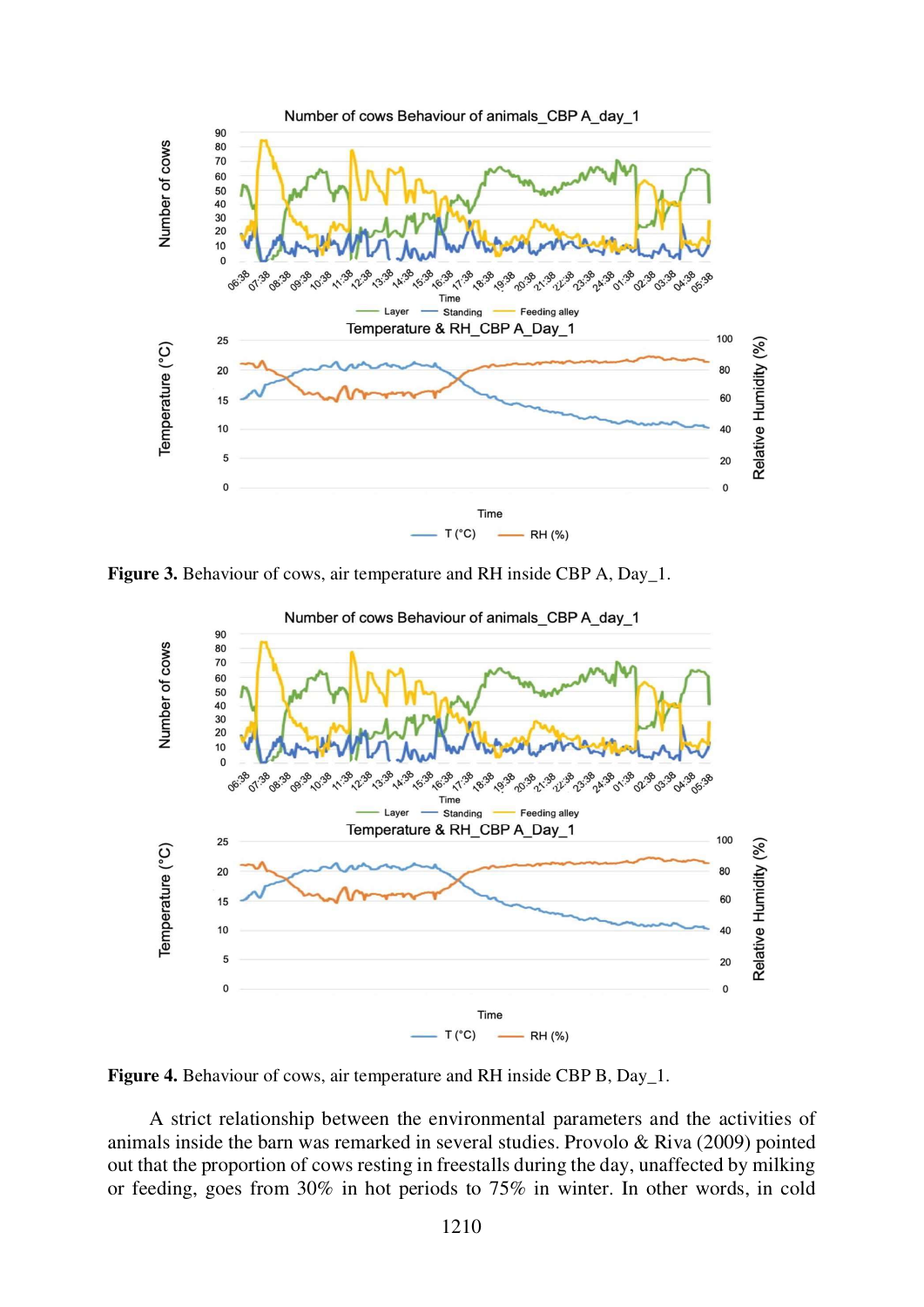

Figure 3. Behaviour of cows, air temperature and RH inside CBP A, Day 1.



Figure 4. Behaviour of cows, air temperature and RH inside CBP B, Day\_1.

A strict relationship between the environmental parameters and the activities of animals inside the barn was remarked in several studies. Provolo & Riva (2009) pointed out that the proportion of cows resting in freestalls during the day, unaffected by milking or feeding, goes from 30% in hot periods to 75% in winter. In other words, in cold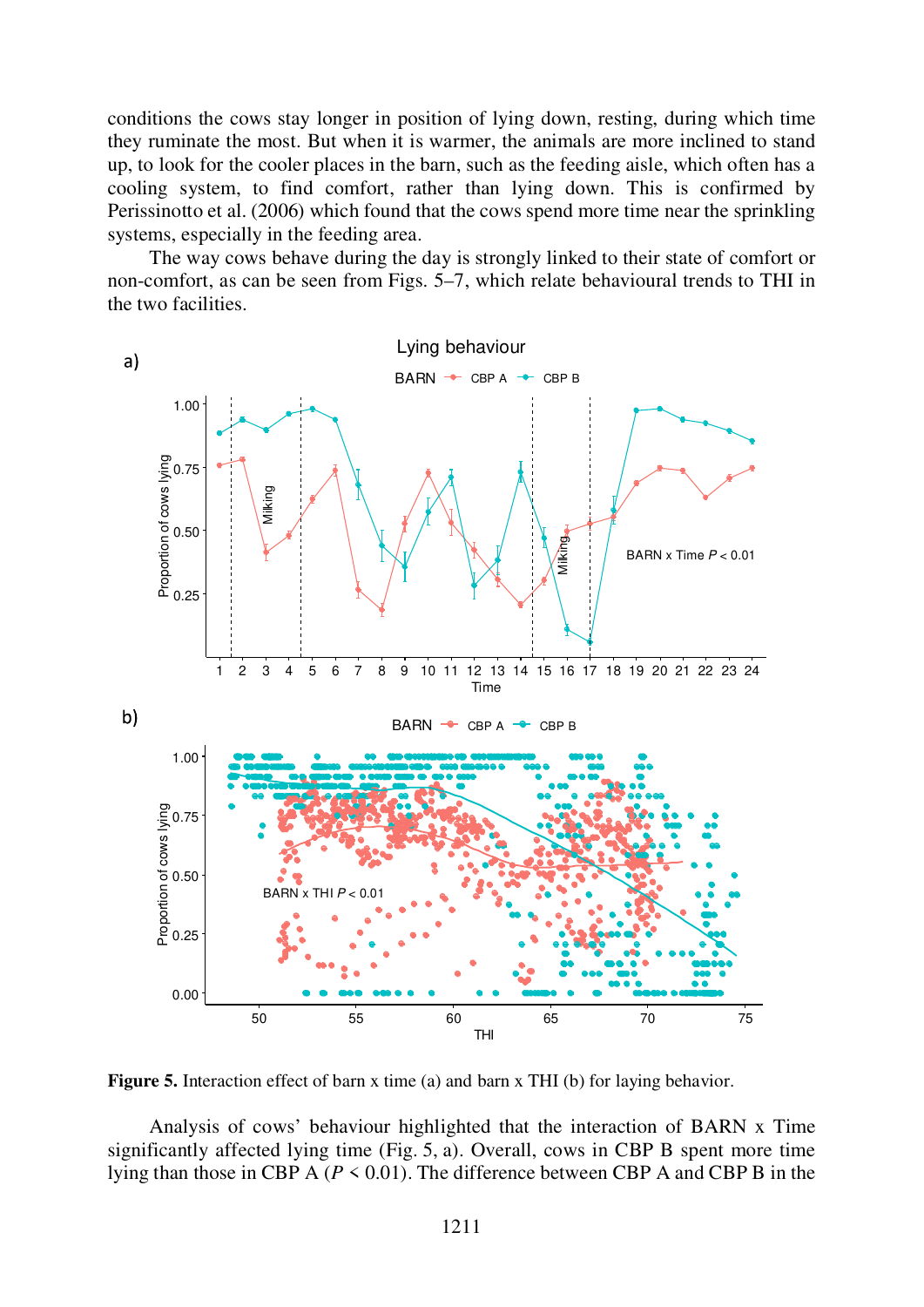conditions the cows stay longer in position of lying down, resting, during which time they ruminate the most. But when it is warmer, the animals are more inclined to stand up, to look for the cooler places in the barn, such as the feeding aisle, which often has a cooling system, to find comfort, rather than lying down. This is confirmed by Perissinotto et al. (2006) which found that the cows spend more time near the sprinkling systems, especially in the feeding area.

The way cows behave during the day is strongly linked to their state of comfort or non-comfort, as can be seen from Figs. 5–7, which relate behavioural trends to THI in the two facilities.



Figure 5. Interaction effect of barn x time (a) and barn x THI (b) for laying behavior.

Analysis of cows' behaviour highlighted that the interaction of BARN x Time significantly affected lying time (Fig. 5, a). Overall, cows in CBP B spent more time lying than those in CBP A ( $P \le 0.01$ ). The difference between CBP A and CBP B in the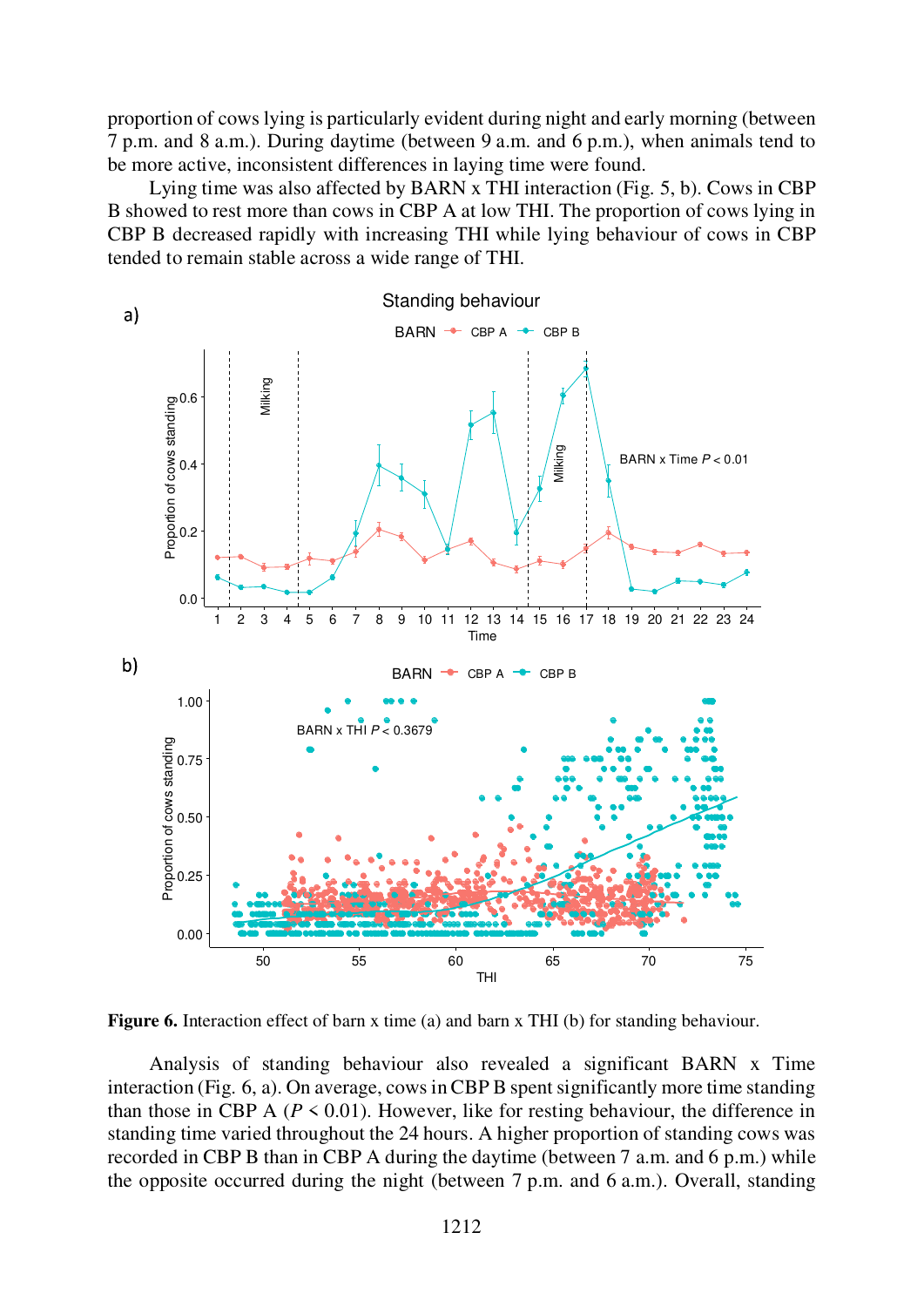proportion of cows lying is particularly evident during night and early morning (between 7 p.m. and 8 a.m.). During daytime (between 9 a.m. and 6 p.m.), when animals tend to be more active, inconsistent differences in laying time were found.

Lying time was also affected by BARN x THI interaction (Fig. 5, b). Cows in CBP B showed to rest more than cows in CBP A at low THI. The proportion of cows lying in CBP B decreased rapidly with increasing THI while lying behaviour of cows in CBP tended to remain stable across a wide range of THI.



Figure 6. Interaction effect of barn x time (a) and barn x THI (b) for standing behaviour.

Analysis of standing behaviour also revealed a significant BARN x Time interaction (Fig. 6, a). On average, cows in CBP B spent significantly more time standing than those in CBP A ( $P \le 0.01$ ). However, like for resting behaviour, the difference in standing time varied throughout the 24 hours. A higher proportion of standing cows was recorded in CBP B than in CBP A during the daytime (between 7 a.m. and 6 p.m.) while the opposite occurred during the night (between 7 p.m. and 6 a.m.). Overall, standing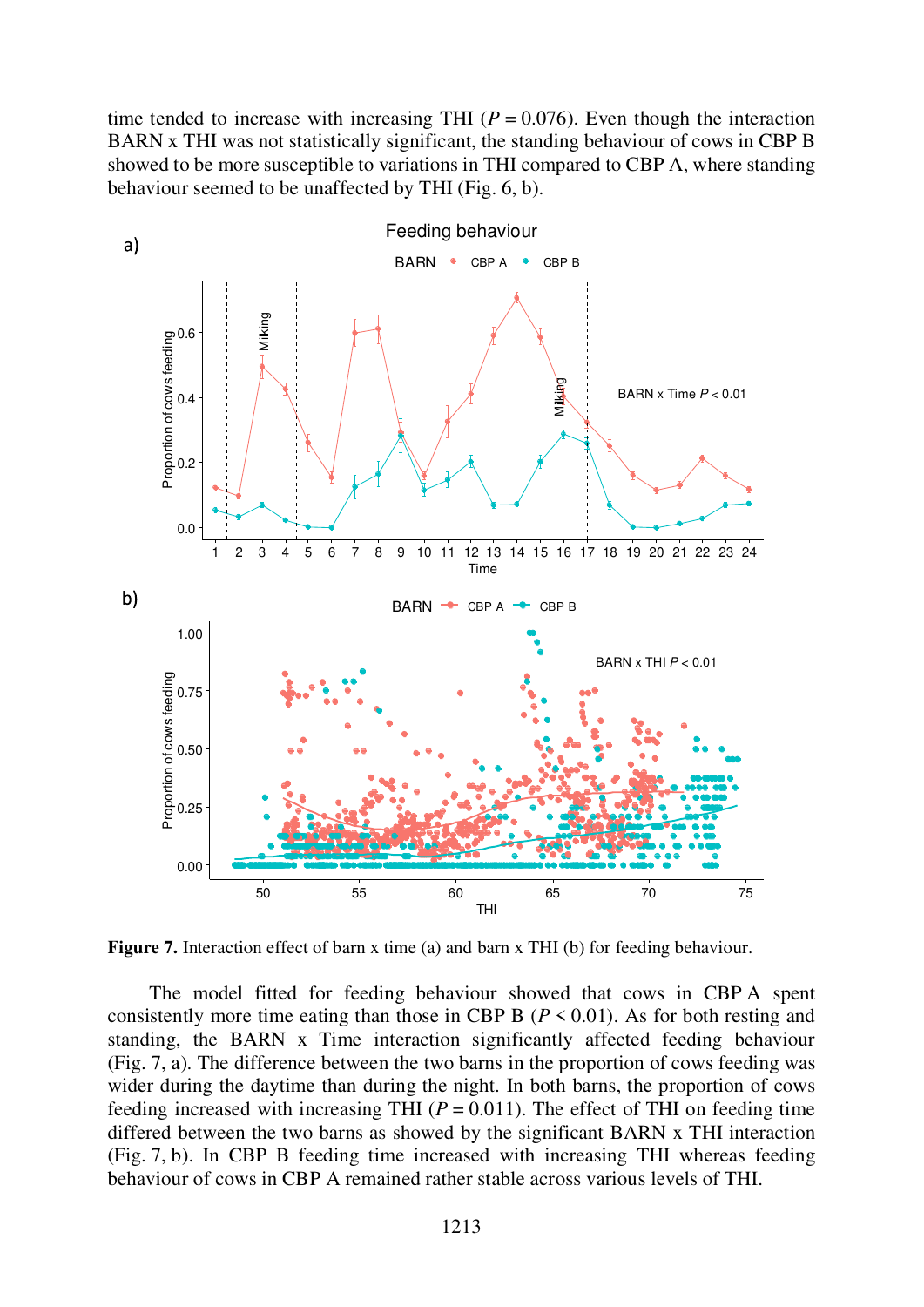time tended to increase with increasing THI ( $P = 0.076$ ). Even though the interaction BARN x THI was not statistically significant, the standing behaviour of cows in CBP B showed to be more susceptible to variations in THI compared to CBP A, where standing behaviour seemed to be unaffected by THI (Fig. 6, b).



Figure 7. Interaction effect of barn x time (a) and barn x THI (b) for feeding behaviour.

The model fitted for feeding behaviour showed that cows in CBP A spent consistently more time eating than those in CBP B ( $P \le 0.01$ ). As for both resting and standing, the BARN x Time interaction significantly affected feeding behaviour (Fig. 7, a). The difference between the two barns in the proportion of cows feeding was wider during the daytime than during the night. In both barns, the proportion of cows feeding increased with increasing THI ( $P = 0.011$ ). The effect of THI on feeding time differed between the two barns as showed by the significant BARN x THI interaction (Fig. 7, b). In CBP B feeding time increased with increasing THI whereas feeding behaviour of cows in CBP A remained rather stable across various levels of THI.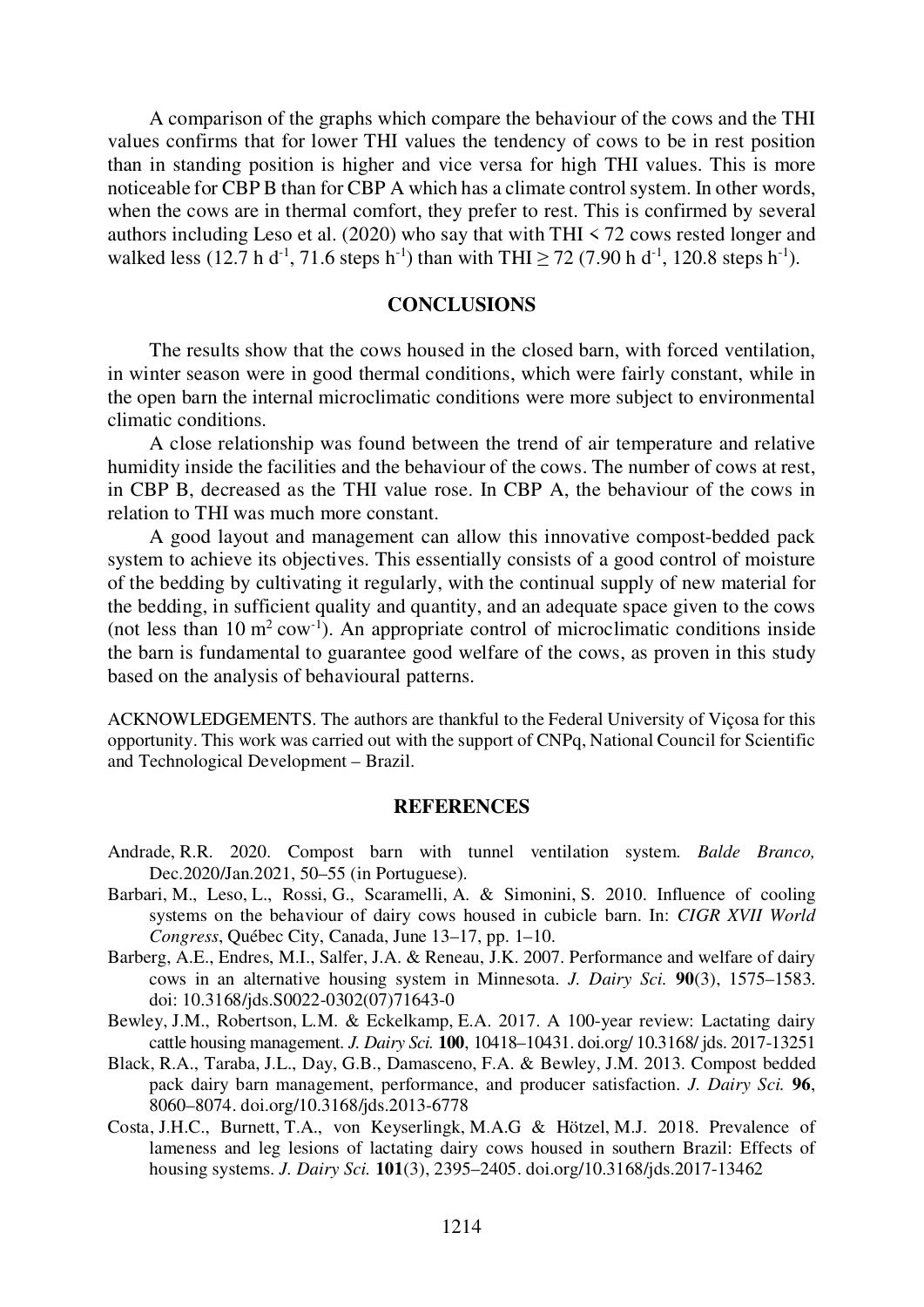A comparison of the graphs which compare the behaviour of the cows and the THI values confirms that for lower THI values the tendency of cows to be in rest position than in standing position is higher and vice versa for high THI values. This is more noticeable for CBP B than for CBP A which has a climate control system. In other words, when the cows are in thermal comfort, they prefer to rest. This is confirmed by several authors including Leso et al. (2020) who say that with THI < 72 cows rested longer and walked less (12.7 h d<sup>-1</sup>, 71.6 steps h<sup>-1</sup>) than with THI  $\geq$  72 (7.90 h d<sup>-1</sup>, 120.8 steps h<sup>-1</sup>).

### **CONCLUSIONS**

The results show that the cows housed in the closed barn, with forced ventilation, in winter season were in good thermal conditions, which were fairly constant, while in the open barn the internal microclimatic conditions were more subject to environmental climatic conditions.

A close relationship was found between the trend of air temperature and relative humidity inside the facilities and the behaviour of the cows. The number of cows at rest, in CBP B, decreased as the THI value rose. In CBP A, the behaviour of the cows in relation to THI was much more constant.

A good layout and management can allow this innovative compost-bedded pack system to achieve its objectives. This essentially consists of a good control of moisture of the bedding by cultivating it regularly, with the continual supply of new material for the bedding, in sufficient quality and quantity, and an adequate space given to the cows (not less than  $10 \text{ m}^2 \text{ cow}^{-1}$ ). An appropriate control of microclimatic conditions inside the barn is fundamental to guarantee good welfare of the cows, as proven in this study based on the analysis of behavioural patterns.

ACKNOWLEDGEMENTS. The authors are thankful to the Federal University of Viçosa for this opportunity. This work was carried out with the support of CNPq, National Council for Scientific and Technological Development – Brazil.

#### **REFERENCES**

- Andrade, R.R. 2020. Compost barn with tunnel ventilation system. Balde Branco, Dec.2020/Jan.2021, 50–55 (in Portuguese).
- Barbari, M., Leso, L., Rossi, G., Scaramelli, A. & Simonini, S. 2010. Influence of cooling systems on the behaviour of dairy cows housed in cubicle barn. In: CIGR XVII World Congress, Québec City, Canada, June 13–17, pp. 1–10.
- Barberg, A.E., Endres, M.I., Salfer, J.A. & Reneau, J.K. 2007. Performance and welfare of dairy cows in an alternative housing system in Minnesota. J. Dairy Sci. 90(3), 1575–1583. doi: 10.3168/jds.S0022-0302(07)71643-0
- Bewley, J.M., Robertson, L.M. & Eckelkamp, E.A. 2017. A 100-year review: Lactating dairy cattle housing management. J. Dairy Sci. 100, 10418–10431. doi.org/ 10.3168/ jds. 2017-13251
- Black, R.A., Taraba, J.L., Day, G.B., Damasceno, F.A. & Bewley, J.M. 2013. Compost bedded pack dairy barn management, performance, and producer satisfaction. J. Dairy Sci. <sup>96</sup>, 8060–8074. doi.org/10.3168/jds.2013-6778
- Costa, J.H.C., Burnett, T.A., von Keyserlingk, M.A.G & Hötzel, M.J. 2018. Prevalence of lameness and leg lesions of lactating dairy cows housed in southern Brazil: Effects of housing systems. J. Dairy Sci. 101(3), 2395–2405. doi.org/10.3168/jds.2017-13462